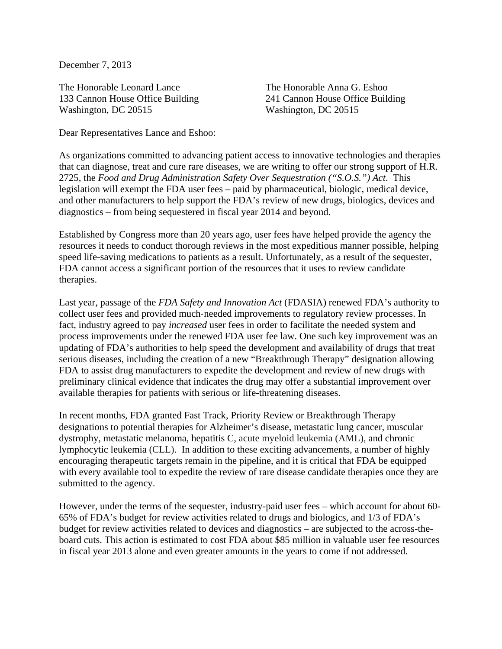December 7, 2013

The Honorable Leonard Lance The Honorable Anna G. Eshoo 133 Cannon House Office Building 241 Cannon House Office Building Washington, DC 20515 Washington, DC 20515

Dear Representatives Lance and Eshoo:

As organizations committed to advancing patient access to innovative technologies and therapies that can diagnose, treat and cure rare diseases, we are writing to offer our strong support of H.R. 2725, the *Food and Drug Administration Safety Over Sequestration ("S.O.S.") Act*. This legislation will exempt the FDA user fees – paid by pharmaceutical, biologic, medical device, and other manufacturers to help support the FDA's review of new drugs, biologics, devices and diagnostics – from being sequestered in fiscal year 2014 and beyond.

Established by Congress more than 20 years ago, user fees have helped provide the agency the resources it needs to conduct thorough reviews in the most expeditious manner possible, helping speed life-saving medications to patients as a result. Unfortunately, as a result of the sequester, FDA cannot access a significant portion of the resources that it uses to review candidate therapies.

Last year, passage of the *FDA Safety and Innovation Act* (FDASIA) renewed FDA's authority to collect user fees and provided much‐needed improvements to regulatory review processes. In fact, industry agreed to pay *increased* user fees in order to facilitate the needed system and process improvements under the renewed FDA user fee law. One such key improvement was an updating of FDA's authorities to help speed the development and availability of drugs that treat serious diseases, including the creation of a new "Breakthrough Therapy" designation allowing FDA to assist drug manufacturers to expedite the development and review of new drugs with preliminary clinical evidence that indicates the drug may offer a substantial improvement over available therapies for patients with serious or life-threatening diseases.

In recent months, FDA granted Fast Track, Priority Review or Breakthrough Therapy designations to potential therapies for Alzheimer's disease, metastatic lung cancer, muscular dystrophy, metastatic melanoma, hepatitis C, acute myeloid leukemia (AML), and chronic lymphocytic leukemia (CLL). In addition to these exciting advancements, a number of highly encouraging therapeutic targets remain in the pipeline, and it is critical that FDA be equipped with every available tool to expedite the review of rare disease candidate therapies once they are submitted to the agency.

However, under the terms of the sequester, industry-paid user fees – which account for about 60- 65% of FDA's budget for review activities related to drugs and biologics, and 1/3 of FDA's budget for review activities related to devices and diagnostics – are subjected to the across-theboard cuts. This action is estimated to cost FDA about \$85 million in valuable user fee resources in fiscal year 2013 alone and even greater amounts in the years to come if not addressed.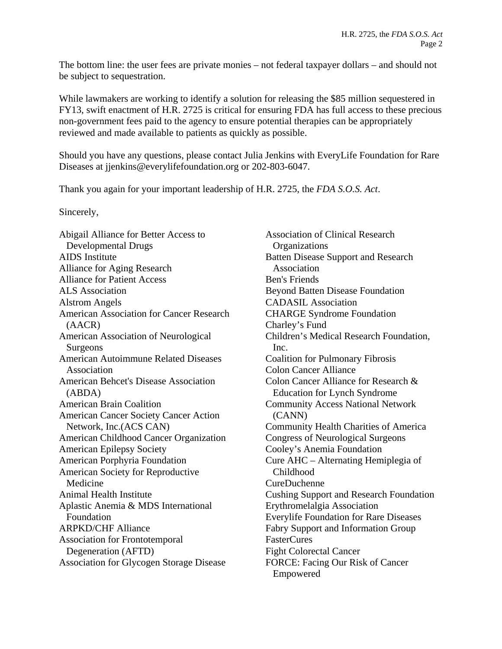The bottom line: the user fees are private monies – not federal taxpayer dollars – and should not be subject to sequestration.

While lawmakers are working to identify a solution for releasing the \$85 million sequestered in FY13, swift enactment of H.R. 2725 is critical for ensuring FDA has full access to these precious non-government fees paid to the agency to ensure potential therapies can be appropriately reviewed and made available to patients as quickly as possible.

Should you have any questions, please contact Julia Jenkins with EveryLife Foundation for Rare Diseases at jjenkins@everylifefoundation.org or 202-803-6047.

Thank you again for your important leadership of H.R. 2725, the *FDA S.O.S. Act*.

Sincerely,

Abigail Alliance for Better Access to Developmental Drugs AIDS Institute Alliance for Aging Research Alliance for Patient Access ALS Association Alstrom Angels American Association for Cancer Research (AACR) American Association of Neurological Surgeons American Autoimmune Related Diseases Association American Behcet's Disease Association (ABDA) American Brain Coalition American Cancer Society Cancer Action Network, Inc.(ACS CAN) American Childhood Cancer Organization American Epilepsy Society American Porphyria Foundation American Society for Reproductive Medicine Animal Health Institute Aplastic Anemia & MDS International Foundation ARPKD/CHF Alliance Association for Frontotemporal Degeneration (AFTD) Association for Glycogen Storage Disease

Association of Clinical Research **Organizations** Batten Disease Support and Research Association Ben's Friends Beyond Batten Disease Foundation CADASIL Association CHARGE Syndrome Foundation Charley's Fund Children's Medical Research Foundation, Inc. Coalition for Pulmonary Fibrosis Colon Cancer Alliance Colon Cancer Alliance for Research & Education for Lynch Syndrome Community Access National Network (CANN) Community Health Charities of America Congress of Neurological Surgeons Cooley's Anemia Foundation Cure AHC – Alternating Hemiplegia of Childhood CureDuchenne Cushing Support and Research Foundation Erythromelalgia Association Everylife Foundation for Rare Diseases Fabry Support and Information Group FasterCures Fight Colorectal Cancer FORCE: Facing Our Risk of Cancer Empowered